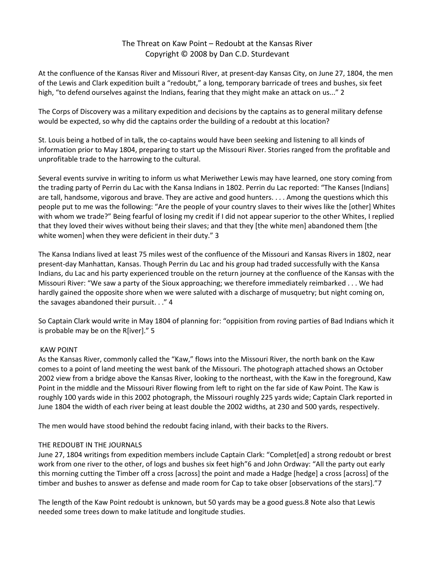# The Threat on Kaw Point – Redoubt at the Kansas River Copyright © 2008 by Dan C.D. Sturdevant

At the confluence of the Kansas River and Missouri River, at present-day Kansas City, on June 27, 1804, the men of the Lewis and Clark expedition built a "redoubt," a long, temporary barricade of trees and bushes, six feet high, "to defend ourselves against the Indians, fearing that they might make an attack on us..." 2

The Corps of Discovery was a military expedition and decisions by the captains as to general military defense would be expected, so why did the captains order the building of a redoubt at this location?

St. Louis being a hotbed of in talk, the co-captains would have been seeking and listening to all kinds of information prior to May 1804, preparing to start up the Missouri River. Stories ranged from the profitable and unprofitable trade to the harrowing to the cultural.

Several events survive in writing to inform us what Meriwether Lewis may have learned, one story coming from the trading party of Perrin du Lac with the Kansa Indians in 1802. Perrin du Lac reported: "The Kanses [Indians] are tall, handsome, vigorous and brave. They are active and good hunters. . . . Among the questions which this people put to me was the following: "Are the people of your country slaves to their wives like the [other] Whites with whom we trade?" Being fearful of losing my credit if I did not appear superior to the other Whites, I replied that they loved their wives without being their slaves; and that they [the white men] abandoned them [the white women] when they were deficient in their duty." 3

The Kansa Indians lived at least 75 miles west of the confluence of the Missouri and Kansas Rivers in 1802, near present-day Manhattan, Kansas. Though Perrin du Lac and his group had traded successfully with the Kansa Indians, du Lac and his party experienced trouble on the return journey at the confluence of the Kansas with the Missouri River: "We saw a party of the Sioux approaching; we therefore immediately reimbarked . . . We had hardly gained the opposite shore when we were saluted with a discharge of musquetry; but night coming on, the savages abandoned their pursuit. . ." 4

So Captain Clark would write in May 1804 of planning for: "oppisition from roving parties of Bad Indians which it is probable may be on the R[iver]." 5

# KAW POINT

As the Kansas River, commonly called the "Kaw," flows into the Missouri River, the north bank on the Kaw comes to a point of land meeting the west bank of the Missouri. The photograph attached shows an October 2002 view from a bridge above the Kansas River, looking to the northeast, with the Kaw in the foreground, Kaw Point in the middle and the Missouri River flowing from left to right on the far side of Kaw Point. The Kaw is roughly 100 yards wide in this 2002 photograph, the Missouri roughly 225 yards wide; Captain Clark reported in June 1804 the width of each river being at least double the 2002 widths, at 230 and 500 yards, respectively.

The men would have stood behind the redoubt facing inland, with their backs to the Rivers.

# THE REDOUBT IN THE JOURNALS

June 27, 1804 writings from expedition members include Captain Clark: "Complet[ed] a strong redoubt or brest work from one river to the other, of logs and bushes six feet high"6 and John Ordway: "All the party out early this morning cutting the Timber off a cross [across] the point and made a Hadge [hedge] a cross [across] of the timber and bushes to answer as defense and made room for Cap to take obser [observations of the stars]."7

The length of the Kaw Point redoubt is unknown, but 50 yards may be a good guess.8 Note also that Lewis needed some trees down to make latitude and longitude studies.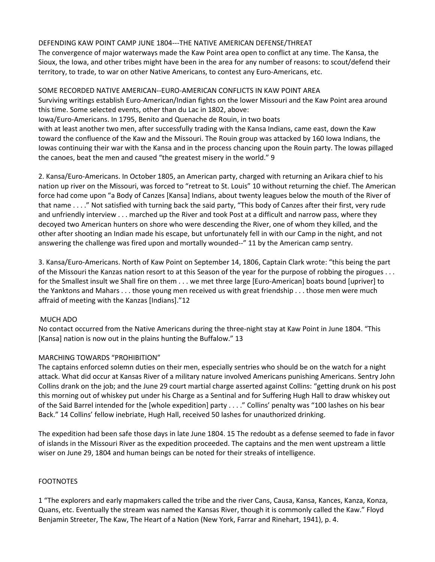### DEFENDING KAW POINT CAMP JUNE 1804---THE NATIVE AMERICAN DEFENSE/THREAT

The convergence of major waterways made the Kaw Point area open to conflict at any time. The Kansa, the Sioux, the Iowa, and other tribes might have been in the area for any number of reasons: to scout/defend their territory, to trade, to war on other Native Americans, to contest any Euro-Americans, etc.

SOME RECORDED NATIVE AMERICAN--EURO-AMERICAN CONFLICTS IN KAW POINT AREA Surviving writings establish Euro-American/Indian fights on the lower Missouri and the Kaw Point area around this time. Some selected events, other than du Lac in 1802, above: Iowa/Euro-Americans. In 1795, Benito and Quenache de Rouin, in two boats with at least another two men, after successfully trading with the Kansa Indians, came east, down the Kaw toward the confluence of the Kaw and the Missouri. The Rouin group was attacked by 160 Iowa Indians, the Iowas continuing their war with the Kansa and in the process chancing upon the Rouin party. The Iowas pillaged the canoes, beat the men and caused "the greatest misery in the world." 9

2. Kansa/Euro-Americans. In October 1805, an American party, charged with returning an Arikara chief to his nation up river on the Missouri, was forced to "retreat to St. Louis" 10 without returning the chief. The American force had come upon "a Body of Canzes [Kansa] Indians, about twenty leagues below the mouth of the River of that name . . . ." Not satisfied with turning back the said party, "This body of Canzes after their first, very rude and unfriendly interview . . . marched up the River and took Post at a difficult and narrow pass, where they decoyed two American hunters on shore who were descending the River, one of whom they killed, and the other after shooting an Indian made his escape, but unfortunately fell in with our Camp in the night, and not answering the challenge was fired upon and mortally wounded--" 11 by the American camp sentry.

3. Kansa/Euro-Americans. North of Kaw Point on September 14, 1806, Captain Clark wrote: "this being the part of the Missouri the Kanzas nation resort to at this Season of the year for the purpose of robbing the pirogues . . . for the Smallest insult we Shall fire on them . . . we met three large [Euro-American] boats bound [upriver] to the Yanktons and Mahars . . . those young men received us with great friendship . . . those men were much affraid of meeting with the Kanzas [Indians]."12

### MUCH ADO

No contact occurred from the Native Americans during the three-night stay at Kaw Point in June 1804. "This [Kansa] nation is now out in the plains hunting the Buffalow." 13

### MARCHING TOWARDS "PROHIBITION"

The captains enforced solemn duties on their men, especially sentries who should be on the watch for a night attack. What did occur at Kansas River of a military nature involved Americans punishing Americans. Sentry John Collins drank on the job; and the June 29 court martial charge asserted against Collins: "getting drunk on his post this morning out of whiskey put under his Charge as a Sentinal and for Suffering Hugh Hall to draw whiskey out of the Said Barrel intended for the [whole expedition] party . . . ." Collins' penalty was "100 lashes on his bear Back." 14 Collins' fellow inebriate, Hugh Hall, received 50 lashes for unauthorized drinking.

The expedition had been safe those days in late June 1804. 15 The redoubt as a defense seemed to fade in favor of islands in the Missouri River as the expedition proceeded. The captains and the men went upstream a little wiser on June 29, 1804 and human beings can be noted for their streaks of intelligence.

### FOOTNOTES

1 "The explorers and early mapmakers called the tribe and the river Cans, Causa, Kansa, Kances, Kanza, Konza, Quans, etc. Eventually the stream was named the Kansas River, though it is commonly called the Kaw." Floyd Benjamin Streeter, The Kaw, The Heart of a Nation (New York, Farrar and Rinehart, 1941), p. 4.